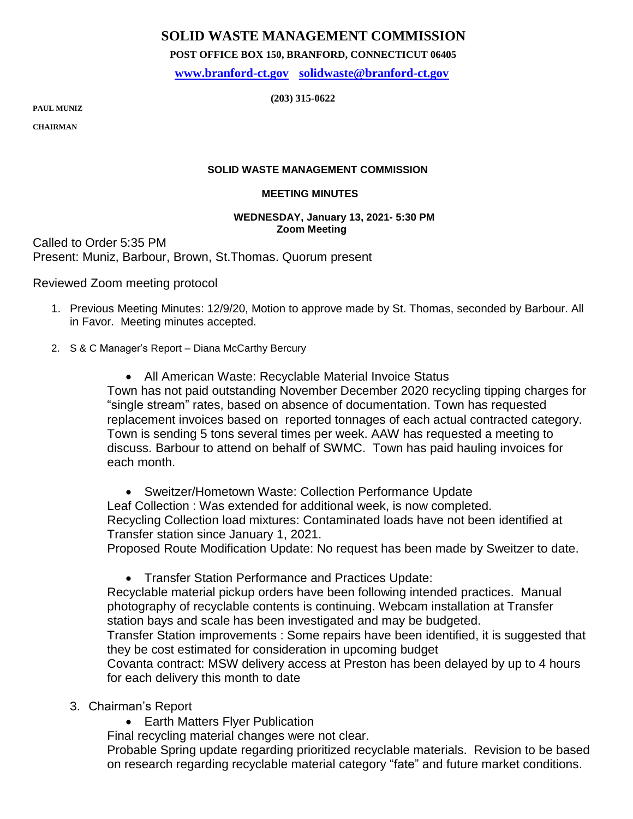# **SOLID WASTE MANAGEMENT COMMISSION**

 **POST OFFICE BOX 150, BRANFORD, CONNECTICUT 06405**

 **[www.branford-ct.gov](http://www.branford-ct.gov/) [solidwaste@branford-ct.gov](mailto:solidwaste@branford-ct.gov)**

 **(203) 315-0622 PAUL MUNIZ** 

**PAUL MUNIZ** 

**CHAIRMAN**

### **SOLID WASTE MANAGEMENT COMMISSION**

#### **MEETING MINUTES**

#### **WEDNESDAY, January 13, 2021- 5:30 PM Zoom Meeting**

Called to Order 5:35 PM Present: Muniz, Barbour, Brown, St.Thomas. Quorum present

Reviewed Zoom meeting protocol

- 1. Previous Meeting Minutes: 12/9/20, Motion to approve made by St. Thomas, seconded by Barbour. All in Favor. Meeting minutes accepted.
- 2. S & C Manager's Report Diana McCarthy Bercury

• All American Waste: Recyclable Material Invoice Status Town has not paid outstanding November December 2020 recycling tipping charges for "single stream" rates, based on absence of documentation. Town has requested replacement invoices based on reported tonnages of each actual contracted category. Town is sending 5 tons several times per week. AAW has requested a meeting to discuss. Barbour to attend on behalf of SWMC. Town has paid hauling invoices for each month.

 Sweitzer/Hometown Waste: Collection Performance Update Leaf Collection : Was extended for additional week, is now completed. Recycling Collection load mixtures: Contaminated loads have not been identified at Transfer station since January 1, 2021.

Proposed Route Modification Update: No request has been made by Sweitzer to date.

Transfer Station Performance and Practices Update:

Recyclable material pickup orders have been following intended practices. Manual photography of recyclable contents is continuing. Webcam installation at Transfer station bays and scale has been investigated and may be budgeted.

Transfer Station improvements : Some repairs have been identified, it is suggested that they be cost estimated for consideration in upcoming budget

Covanta contract: MSW delivery access at Preston has been delayed by up to 4 hours for each delivery this month to date

- 3. Chairman's Report
	- Earth Matters Flyer Publication

Final recycling material changes were not clear.

Probable Spring update regarding prioritized recyclable materials. Revision to be based on research regarding recyclable material category "fate" and future market conditions.